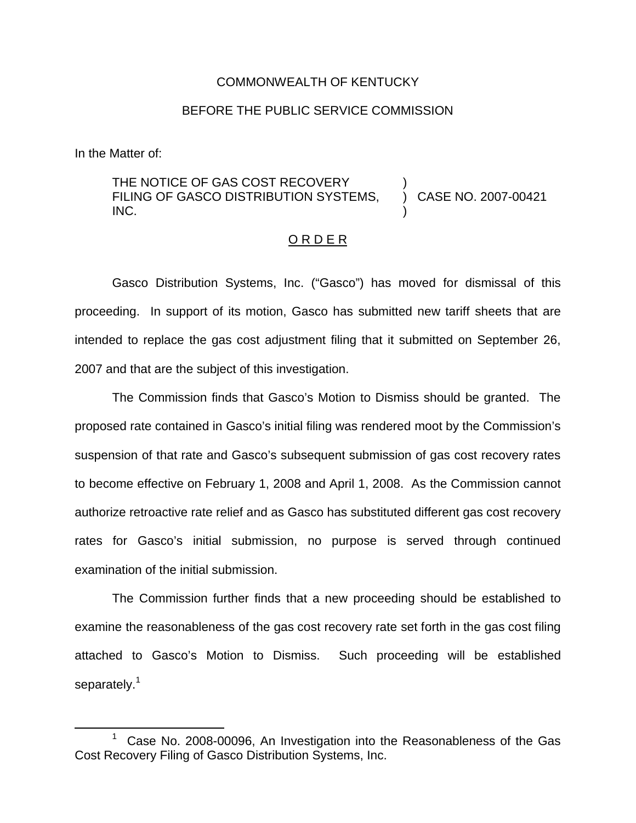## COMMONWEALTH OF KENTUCKY

## BEFORE THE PUBLIC SERVICE COMMISSION

In the Matter of:

## THE NOTICE OF GAS COST RECOVERY FILING OF GASCO DISTRIBUTION SYSTEMS, INC. ) ) CASE NO. 2007-00421 )

## O R D E R

Gasco Distribution Systems, Inc. ("Gasco") has moved for dismissal of this proceeding. In support of its motion, Gasco has submitted new tariff sheets that are intended to replace the gas cost adjustment filing that it submitted on September 26, 2007 and that are the subject of this investigation.

The Commission finds that Gasco's Motion to Dismiss should be granted. The proposed rate contained in Gasco's initial filing was rendered moot by the Commission's suspension of that rate and Gasco's subsequent submission of gas cost recovery rates to become effective on February 1, 2008 and April 1, 2008. As the Commission cannot authorize retroactive rate relief and as Gasco has substituted different gas cost recovery rates for Gasco's initial submission, no purpose is served through continued examination of the initial submission.

The Commission further finds that a new proceeding should be established to examine the reasonableness of the gas cost recovery rate set forth in the gas cost filing attached to Gasco's Motion to Dismiss. Such proceeding will be established separately.<sup>1</sup>

 $1$  Case No. 2008-00096, An Investigation into the Reasonableness of the Gas Cost Recovery Filing of Gasco Distribution Systems, Inc.